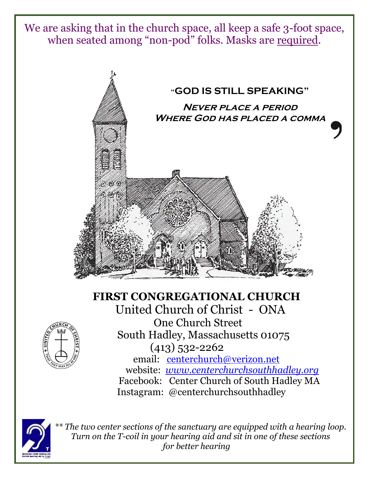We are asking that in the church space, all keep a safe 3-foot space, when seated among "non-pod" folks. Masks are required.



# **FIRST CONGREGATIONAL CHURCH**



 United Church of Christ - ONA One Church Street South Hadley, Massachusetts 01075 (413) 532-2262 email: [centerchurch@verizon.net](mailto:centerchurch@verizon.net) website: *[www.centerchurchsouthhadley.org](http://www.centerchurchsouthhadley.org/)* Facebook: Center Church of South Hadley MA Instagram: @centerchurchsouthhadley



 *\*\* The two center sections of the sanctuary are equipped with a hearing loop. Turn on the T-coil in your hearing aid and sit in one of these sections for better hearing*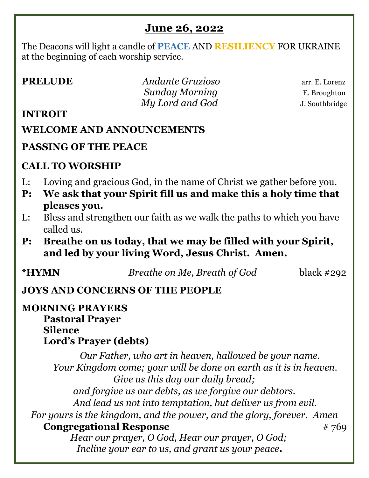# **June 26, 2022**

The Deacons will light a candle of **PEACE** AND **RESILIENCY** FOR UKRAINE at the beginning of each worship service.

| <b>PRELUDE</b> |
|----------------|
|----------------|

*Andante Gruzioso* **arr. E. Lorenz** *Sunday Morning* E. Broughton  *My Lord and God* J. Southbridge

#### **INTROIT**

### **WELCOME AND ANNOUNCEMENTS**

## **PASSING OF THE PEACE**

## **CALL TO WORSHIP**

- L: Loving and gracious God, in the name of Christ we gather before you.
- **P: We ask that your Spirit fill us and make this a holy time that pleases you.**
- L: Bless and strengthen our faith as we walk the paths to which you have called us.
- **P: Breathe on us today, that we may be filled with your Spirit, and led by your living Word, Jesus Christ. Amen.**

**\*HYMN** *Breathe on Me, Breath of God*black #292

## **JOYS AND CONCERNS OF THE PEOPLE**

#### **MORNING PRAYERS Pastoral Prayer Silence Lord's Prayer (debts)**

*Our Father, who art in heaven, hallowed be your name. Your Kingdom come; your will be done on earth as it is in heaven. Give us this day our daily bread; and forgive us our debts, as we forgive our debtors. And lead us not into temptation, but deliver us from evil. For yours is the kingdom, and the power, and the glory, forever. Amen* **Congregational Response** # 769  *Hear our prayer, O God, Hear our prayer, O God; Incline your ear to us, and grant us your peace.*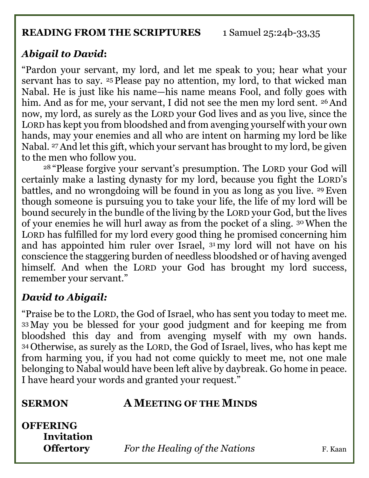#### **READING FROM THE SCRIPTURES** 1 Samuel 25:24b-33,35

# *Abigail to David***:**

"Pardon your servant, my lord, and let me speak to you; hear what your servant has to say. <sup>25</sup> Please pay no attention, my lord, to that wicked man Nabal. He is just like his name—his name means Fool, and folly goes with him. And as for me, your servant, I did not see the men my lord sent. <sup>26</sup> And now, my lord, as surely as the LORD your God lives and as you live, since the LORD has kept you from bloodshed and from avenging yourself with your own hands, may your enemies and all who are intent on harming my lord be like Nabal. 27And let this gift, which your servant has brought to my lord, be given to the men who follow you.

<sup>28</sup> "Please forgive your servant's presumption. The LORD your God will certainly make a lasting dynasty for my lord, because you fight the LORD's battles, and no wrongdoing will be found in you as long as you live. 29Even though someone is pursuing you to take your life, the life of my lord will be bound securely in the bundle of the living by the LORD your God, but the lives of your enemies he will hurl away as from the pocket of a sling. 30When the LORD has fulfilled for my lord every good thing he promised concerning him and has appointed him ruler over Israel, <sup>31</sup> my lord will not have on his conscience the staggering burden of needless bloodshed or of having avenged himself. And when the LORD your God has brought my lord success, remember your servant."

# *David to Abigail:*

"Praise be to the LORD, the God of Israel, who has sent you today to meet me. <sup>33</sup> May you be blessed for your good judgment and for keeping me from bloodshed this day and from avenging myself with my own hands. <sup>34</sup> Otherwise, as surely as the LORD, the God of Israel, lives, who has kept me from harming you, if you had not come quickly to meet me, not one male belonging to Nabal would have been left alive by daybreak. Go home in peace. I have heard your words and granted your request."

#### **SERMON A MEETING OF THE MINDS**

**OFFERING Invitation** 

**Offertory** *For the Healing of the Nations* F. Kaan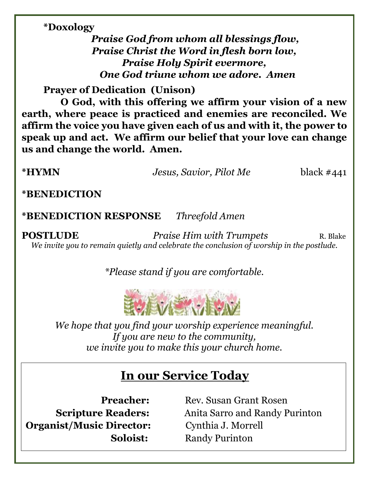#### **\*Doxology**

*Praise God from whom all blessings flow, Praise Christ the Word in flesh born low, Praise Holy Spirit evermore, One God triune whom we adore. Amen*

**Prayer of Dedication (Unison)**

 **O God, with this offering we affirm your vision of a new earth, where peace is practiced and enemies are reconciled. We affirm the voice you have given each of us and with it, the power to speak up and act. We affirm our belief that your love can change us and change the world. Amen.** 

**\*HYMN** *Jesus, Savior, Pilot Me* black #441

**\*BENEDICTION**

**\*BENEDICTION RESPONSE** *Threefold Amen*

**POSTLUDE** *Praise Him with Trumpets* R. Blake *We invite you to remain quietly and celebrate the conclusion of worship in the postlude.*

*\*Please stand if you are comfortable.*



*We hope that you find your worship experience meaningful. If you are new to the community, we invite you to make this your church home.*

# **In our Service Today**

**Organist/Music Director:** Cynthia J. Morrell

**Preacher:** Rev. Susan Grant Rosen **Scripture Readers:** Anita Sarro and Randy Purinton **Soloist:** Randy Purinton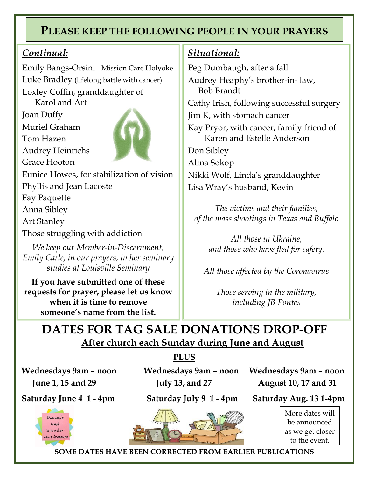# **PLEASE KEEP THE FOLLOWING PEOPLE IN YOUR PRAYERS**

#### *Continual:*

Emily Bangs-Orsini Mission Care Holyoke Luke Bradley (lifelong battle with cancer) Loxley Coffin, granddaughter of

Karol and Art

/ Joan Duffy Muriel Graham

Tom Hazen

Audrey Heinrichs





Eunice Howes, for stabilization of vision

Phyllis and Jean Lacoste

Fay Paquette

Anna Sibley

Art Stanley

Those struggling with addiction

*We keep our Member-in-Discernment, Emily Carle, in our prayers, in her seminary studies at Louisville Seminary*

**If you have submitted one of these requests for prayer, please let us know when it is time to remove someone's name from the list.**

#### *Situational:*

Peg Dumbaugh, after a fall Audrey Heaphy's brother-in- law, Bob Brandt Cathy Irish, following successful surgery Jim K, with stomach cancer Kay Pryor, with cancer, family friend of Karen and Estelle Anderson Don Sibley Alina Sokop Nikki Wolf, Linda's granddaughter Lisa Wray's husband, Kevin

*The victims and their families, of the mass shootings in Texas and Buffalo*

*All those in Ukraine, and those who have fled for safety.*

*All those affected by the Coronavirus*

*Those serving in the military, including JB Pontes*

# **DATES FOR TAG SALE DONATIONS DROP-OFF After church each Sunday during June and August**

**PLUS**



**Wednesdays 9am – noon Wednesdays 9am – noon Wednesdays 9am – noon June 1, 15 and 29 July 13, and 27 August 10, 17 and 31**

**Saturday June 4 1 - 4pm Saturday July 9 1 - 4pm Saturday Aug. 13 1-4pm**



More dates will be announced as we get closer to the event.

**SOME DATES HAVE BEEN CORRECTED FROM EARLIER PUBLICATIONS**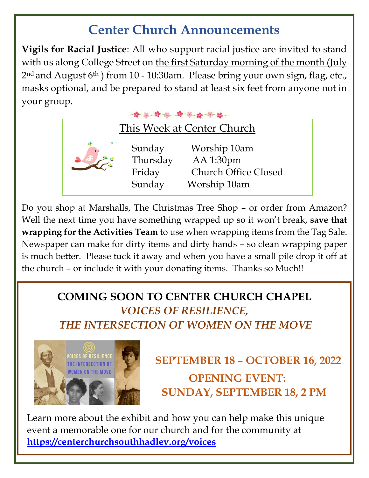# **Center Church Announcements**

**Vigils for Racial Justice**: All who support racial justice are invited to stand with us along College Street on the first Saturday morning of the month (July 2<sup>nd</sup> and August 6<sup>th</sup>) from 10 - 10:30am. Please bring your own sign, flag, etc., masks optional, and be prepared to stand at least six feet from anyone not in your group.



Do you shop at Marshalls, The Christmas Tree Shop – or order from Amazon? Well the next time you have something wrapped up so it won't break, **save that wrapping for the Activities Team** to use when wrapping items from the Tag Sale. Newspaper can make for dirty items and dirty hands – so clean wrapping paper is much better. Please tuck it away and when you have a small pile drop it off at the church – or include it with your donating items. Thanks so Much!!

# **COMING SOON TO CENTER CHURCH CHAPEL** *VOICES OF RESILIENCE, THE INTERSECTION OF WOMEN ON THE MOVE*



# **SEPTEMBER 18 – OCTOBER 16, 2022** MEN ON THE MOVE **OPENING EVENT: SUNDAY, SEPTEMBER 18, 2 PM**

Learn more about the exhibit and how you can help make this unique event a memorable one for our church and for the community at **<https://centerchurchsouthhadley.org/voices>**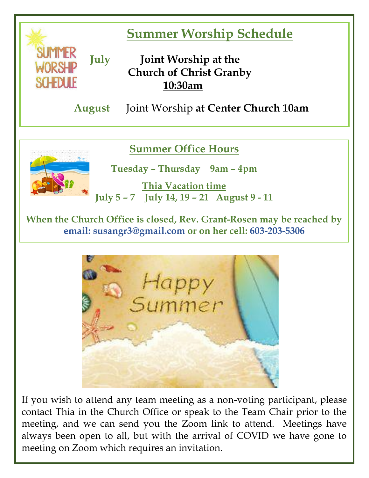